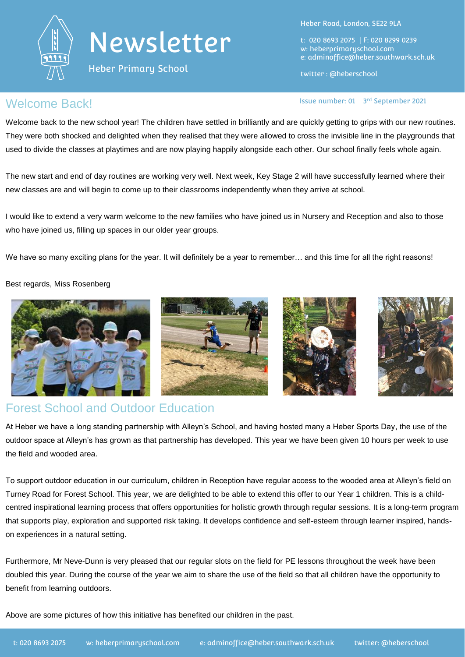



Heber Primary School

Heber Road, London, SE22 9LA

t: 020 8693 2075 | F: 020 8299 0239 w: heberprimaryschool.com e: [adminoffice@heber.southwark.sch.uk](mailto:adminoffice@heber.southwark.sch.uk)

twitter : @heberschool

Issue number: 01 3rd September 2021

## **ISSUE DATE: 01 3** ISSUE NUMBER 01 3

Welcome back to the new school year! The children have settled in brilliantly and are quickly getting to grips with our new routines. They were both shocked and delighted when they realised that they were allowed to cross the invisible line in the playgrounds that used to divide the classes at playtimes and are now playing happily alongside each other. Our school finally feels whole again.

The new start and end of day routines are working very well. Next week, Key Stage 2 will have successfully learned where their new classes are and will begin to come up to their classrooms independently when they arrive at school.

I would like to extend a very warm welcome to the new families who have joined us in Nursery and Reception and also to those who have joined us, filling up spaces in our older year groups.

We have so many exciting plans for the year. It will definitely be a year to remember... and this time for all the right reasons!

#### Best regards, Miss Rosenberg



## Forest School and Outdoor Education

At Heber we have a long standing partnership with Alleyn's School, and having hosted many a Heber Sports Day, the use of the outdoor space at Alleyn's has grown as that partnership has developed. This year we have been given 10 hours per week to use the field and wooded area.

To support outdoor education in our curriculum, children in Reception have regular access to the wooded area at Alleyn's field on Turney Road for Forest School. This year, we are delighted to be able to extend this offer to our Year 1 children. This is a childcentred inspirational learning process that offers opportunities for holistic growth through regular sessions. It is a long-term program that supports play, exploration and supported risk taking. It develops confidence and self-esteem through learner inspired, handson experiences in a natural setting.

Furthermore, Mr Neve-Dunn is very pleased that our regular slots on the field for PE lessons throughout the week have been doubled this year. During the course of the year we aim to share the use of the field so that all children have the opportunity to benefit from learning outdoors.

Above are some pictures of how this initiative has benefited our children in the past.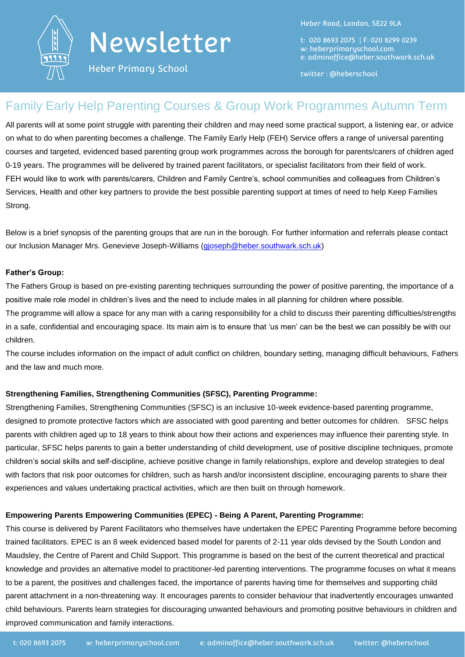

# Newsletter

Heber Road, London, SE22 9LA

t: 020 8693 2075 | F: 020 8299 0239 w: heberprimaryschool.com e: [adminoffice@heber.southwark.sch.uk](mailto:adminoffice@heber.southwark.sch.uk)

Heber Primary School

twitter : @heberschool

## Family Early Help Parenting Courses & Group Work Programmes Autumn Term

All parents will at some point struggle with parenting their children and may need some practical support, a listening ear, or advice on what to do when parenting becomes a challenge. The Family Early Help (FEH) Service offers a range of universal parenting courses and targeted, evidenced based parenting group work programmes across the borough for parents/carers of children aged 0-19 years. The programmes will be delivered by trained parent facilitators, or specialist facilitators from their field of work. FEH would like to work with parents/carers, Children and Family Centre's, school communities and colleagues from Children's Services, Health and other key partners to provide the best possible parenting support at times of need to help Keep Families Strong.

Below is a brief synopsis of the parenting groups that are run in the borough. For further information and referrals please contact our Inclusion Manager Mrs. Genevieve Joseph-Williams [\(gjoseph@heber.southwark.sch.uk\)](mailto:gjoseph@heber.southwark.sch.uk)

#### **Father's Group:**

The Fathers Group is based on pre-existing parenting techniques surrounding the power of positive parenting, the importance of a positive male role model in children's lives and the need to include males in all planning for children where possible.

The programme will allow a space for any man with a caring responsibility for a child to discuss their parenting difficulties/strengths in a safe, confidential and encouraging space. Its main aim is to ensure that 'us men' can be the best we can possibly be with our children.

The course includes information on the impact of adult conflict on children, boundary setting, managing difficult behaviours, Fathers and the law and much more.

### **Strengthening Families, Strengthening Communities (SFSC), Parenting Programme:**

Strengthening Families, Strengthening Communities (SFSC) is an inclusive 10-week evidence-based parenting programme, designed to promote protective factors which are associated with good parenting and better outcomes for children. SFSC helps parents with children aged up to 18 years to think about how their actions and experiences may influence their parenting style. In particular, SFSC helps parents to gain a better understanding of child development, use of positive discipline techniques, promote children's social skills and self-discipline, achieve positive change in family relationships, explore and develop strategies to deal with factors that risk poor outcomes for children, such as harsh and/or inconsistent discipline, encouraging parents to share their experiences and values undertaking practical activities, which are then built on through homework.

### **Empowering Parents Empowering Communities (EPEC) - Being A Parent, Parenting Programme:**

This course is delivered by Parent Facilitators who themselves have undertaken the EPEC Parenting Programme before becoming trained facilitators. EPEC is an 8 week evidenced based model for parents of 2-11 year olds devised by the South London and Maudsley, the Centre of Parent and Child Support. This programme is based on the best of the current theoretical and practical knowledge and provides an alternative model to practitioner-led parenting interventions. The programme focuses on what it means to be a parent, the positives and challenges faced, the importance of parents having time for themselves and supporting child parent attachment in a non-threatening way. It encourages parents to consider behaviour that inadvertently encourages unwanted child behaviours. Parents learn strategies for discouraging unwanted behaviours and promoting positive behaviours in children and improved communication and family interactions.